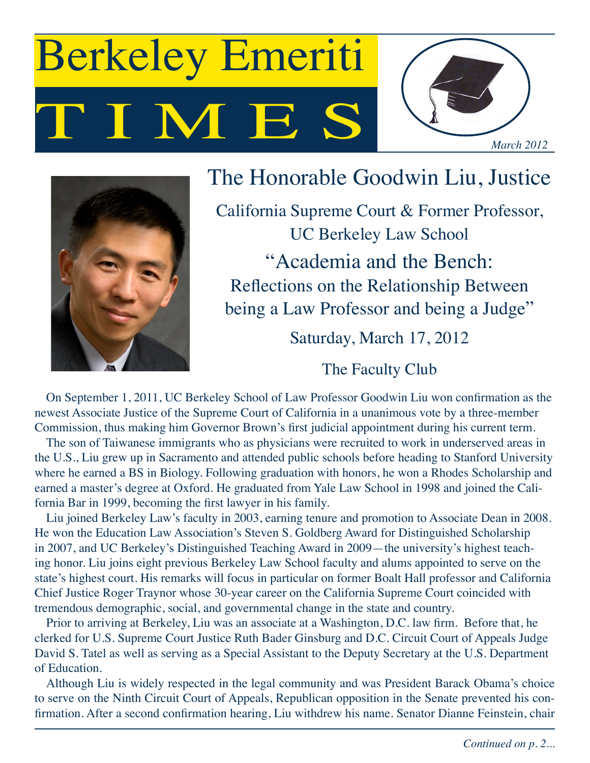# T M E Berkeley Emeriti





# The Honorable Goodwin Liu, Justice

California Supreme Court & Former Professor, UC Berkeley Law School "Academia and the Bench: Reflections on the Relationship Between being a Law Professor and being a Judge"

Saturday, March 17, 2012

The Faculty Club

On September 1, 2011, UC Berkeley School of Law Professor Goodwin Liu won confirmation as the newest Associate Justice of the Supreme Court of California in a unanimous vote by a three-member Commission, thus making him Governor Brown's first judicial appointment during his current term.

The son of Taiwanese immigrants who as physicians were recruited to work in underserved areas in the U.S., Liu grew up in Sacramento and attended public schools before heading to Stanford University where he earned a BS in Biology. Following graduation with honors, he won a Rhodes Scholarship and earned a master's degree at Oxford. He graduated from Yale Law School in 1998 and joined the California Bar in 1999, becoming the first lawyer in his family.

Liu joined Berkeley Law's faculty in 2003, earning tenure and promotion to Associate Dean in 2008. He won the Education Law Association's Steven S. Goldberg Award for Distinguished Scholarship in 2007, and UC Berkeley's Distinguished Teaching Award in 2009—the university's highest teaching honor. Liu joins eight previous Berkeley Law School faculty and alums appointed to serve on the state's highest court. His remarks will focus in particular on former Boalt Hall professor and California Chief Justice Roger Traynor whose 30-year career on the California Supreme Court coincided with tremendous demographic, social, and governmental change in the state and country.

Prior to arriving at Berkeley, Liu was an associate at a Washington, D.C. law firm. Before that, he clerked for U.S. Supreme Court Justice Ruth Bader Ginsburg and D.C. Circuit Court of Appeals Judge David S. Tatel as well as serving as a Special Assistant to the Deputy Secretary at the U.S. Department of Education.

Although Liu is widely respected in the legal community and was President Barack Obama's choice to serve on the Ninth Circuit Court of Appeals, Republican opposition in the Senate prevented his confirmation. After a second confirmation hearing, Liu withdrew his name. Senator Dianne Feinstein, chair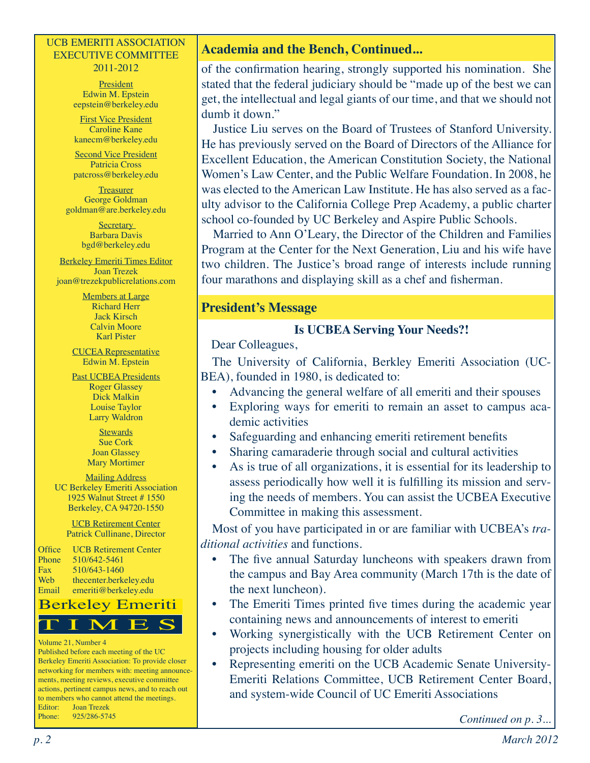#### UCB EMERITI ASSOCIATION EXECUTIVE COMMITTEE 2011-2012

**President** Edwin M. Epstein eepstein@berkeley.edu

First Vice President Caroline Kane kanecm@berkeley.edu

Second Vice President Patricia Cross patcross@berkeley.edu

**Treasurer** George Goldman goldman@are.berkeley.edu

> **Secretary** Barbara Davis bgd@berkeley.edu

Berkeley Emeriti Times Editor Joan Trezek joan@trezekpublicrelations.com

> Members at Large Richard Herr Jack Kirsch Calvin Moore Karl Pister

CUCEA Representative Edwin M. Epstein

Past UCBEA Presidents Roger Glassey Dick Malkin Louise Taylor Larry Waldron

> **Stewards** Sue Cork Joan Glassey Mary Mortimer

Mailing Address UC Berkeley Emeriti Association 1925 Walnut Street # 1550 Berkeley, CA 94720-1550

> UCB Retirement Center Patrick Cullinane, Director

Office UCB Retirement Center Phone 510/642-5461 Fax 510/643-1460<br>Web thecenter.berk thecenter.berkeley.edu Email emeriti@berkeley.edu

## Berkeley Emeriti<br>
T I M E S Berkeley Emeriti

#### Volume 21, Number 4

Published before each meeting of the UC Berkeley Emeriti Association: To provide closer networking for members with: meeting announcements, meeting reviews, executive committee actions, pertinent campus news, and to reach out to members who cannot attend the meetings. Editor: Joan Trezek Phone: 925/286-5745

#### **Academia and the Bench, Continued...**

of the confirmation hearing, strongly supported his nomination. She stated that the federal judiciary should be "made up of the best we can get, the intellectual and legal giants of our time, and that we should not dumb it down."

Justice Liu serves on the Board of Trustees of Stanford University. He has previously served on the Board of Directors of the Alliance for Excellent Education, the American Constitution Society, the National Women's Law Center, and the Public Welfare Foundation. In 2008, he was elected to the American Law Institute. He has also served as a faculty advisor to the California College Prep Academy, a public charter school co-founded by UC Berkeley and Aspire Public Schools.

Married to Ann O'Leary, the Director of the Children and Families Program at the Center for the Next Generation, Liu and his wife have two children. The Justice's broad range of interests include running four marathons and displaying skill as a chef and fisherman.

#### **President's Message**

#### **Is UCBEA Serving Your Needs?!**

Dear Colleagues,

The University of California, Berkley Emeriti Association (UC-BEA), founded in 1980, is dedicated to:

- Advancing the general welfare of all emeriti and their spouses
- Exploring ways for emeriti to remain an asset to campus academic activities
- Safeguarding and enhancing emeriti retirement benefits
- Sharing camaraderie through social and cultural activities
- As is true of all organizations, it is essential for its leadership to assess periodically how well it is fulfilling its mission and serving the needs of members. You can assist the UCBEA Executive Committee in making this assessment.

Most of you have participated in or are familiar with UCBEA's *traditional activities* and functions.

- The five annual Saturday luncheons with speakers drawn from the campus and Bay Area community (March 17th is the date of the next luncheon).
- The Emeriti Times printed five times during the academic year containing news and announcements of interest to emeriti
- Working synergistically with the UCB Retirement Center on projects including housing for older adults
- Representing emeriti on the UCB Academic Senate University-Emeriti Relations Committee, UCB Retirement Center Board, and system-wide Council of UC Emeriti Associations

*Continued on p. 3...*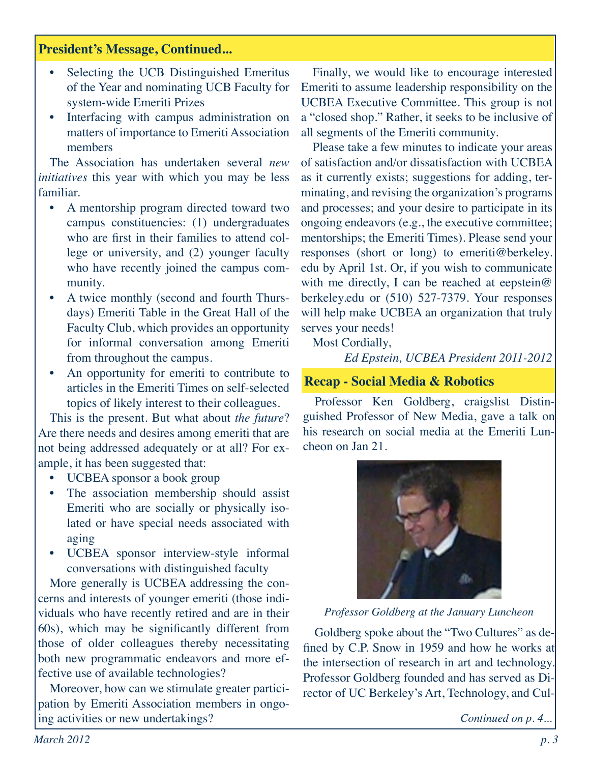#### **President's Message, Continued...**

- Selecting the UCB Distinguished Emeritus of the Year and nominating UCB Faculty for system-wide Emeriti Prizes
- Interfacing with campus administration on matters of importance to Emeriti Association members

The Association has undertaken several *new initiatives* this year with which you may be less familiar.

- A mentorship program directed toward two campus constituencies: (1) undergraduates who are first in their families to attend college or university, and (2) younger faculty who have recently joined the campus community.
- A twice monthly (second and fourth Thursdays) Emeriti Table in the Great Hall of the Faculty Club, which provides an opportunity for informal conversation among Emeriti from throughout the campus.
- An opportunity for emeriti to contribute to articles in the Emeriti Times on self-selected topics of likely interest to their colleagues.

This is the present. But what about *the future*? Are there needs and desires among emeriti that are not being addressed adequately or at all? For example, it has been suggested that:

- UCBEA sponsor a book group
- The association membership should assist Emeriti who are socially or physically isolated or have special needs associated with aging
- UCBEA sponsor interview-style informal conversations with distinguished faculty

More generally is UCBEA addressing the concerns and interests of younger emeriti (those individuals who have recently retired and are in their 60s), which may be significantly different from those of older colleagues thereby necessitating both new programmatic endeavors and more effective use of available technologies?

Moreover, how can we stimulate greater participation by Emeriti Association members in ongoing activities or new undertakings?

Finally, we would like to encourage interested Emeriti to assume leadership responsibility on the UCBEA Executive Committee. This group is not a "closed shop." Rather, it seeks to be inclusive of all segments of the Emeriti community.

Please take a few minutes to indicate your areas of satisfaction and/or dissatisfaction with UCBEA as it currently exists; suggestions for adding, terminating, and revising the organization's programs and processes; and your desire to participate in its ongoing endeavors (e.g., the executive committee; mentorships; the Emeriti Times). Please send your responses (short or long) to emeriti@berkeley. edu by April 1st. Or, if you wish to communicate with me directly, I can be reached at eepstein@ berkeley.edu or (510) 527-7379. Your responses will help make UCBEA an organization that truly serves your needs!

Most Cordially,

*Ed Epstein, UCBEA President 2011-2012*

#### **Recap - Social Media & Robotics**

Professor Ken Goldberg, craigslist Distinguished Professor of New Media, gave a talk on his research on social media at the Emeriti Luncheon on Jan 21.



*Professor Goldberg at the January Luncheon*

Goldberg spoke about the "Two Cultures" as defined by C.P. Snow in 1959 and how he works at the intersection of research in art and technology. Professor Goldberg founded and has served as Director of UC Berkeley's Art, Technology, and Cul-

*Continued on p. 4...*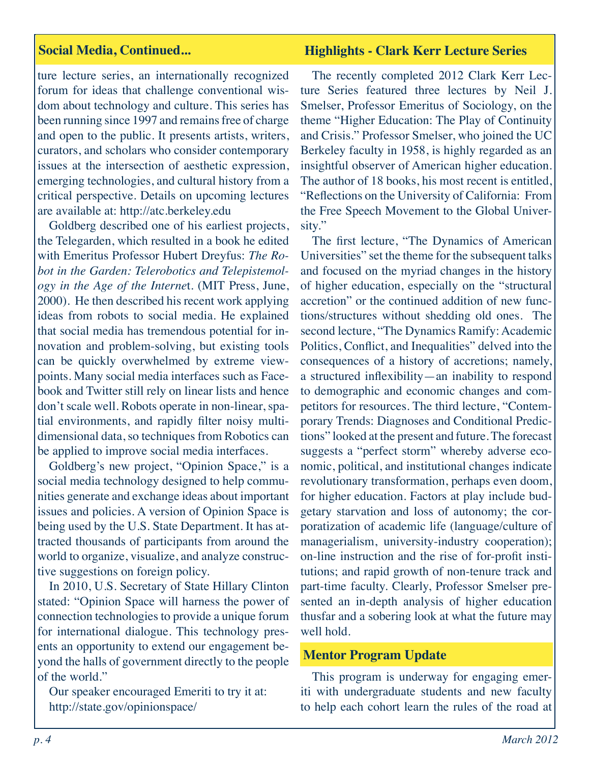#### ture lecture series, an internationally recognized forum for ideas that challenge conventional wisdom about technology and culture. This series has been running since 1997 and remains free of charge and open to the public. It presents artists, writers, curators, and scholars who consider contemporary issues at the intersection of aesthetic expression, emerging technologies, and cultural history from a critical perspective. Details on upcoming lectures are available at: http://atc.berkeley.edu

Goldberg described one of his earliest projects, the Telegarden, which resulted in a book he edited with Emeritus Professor Hubert Dreyfus: *The Robot in the Garden: Telerobotics and Telepistemology in the Age of the Interne*t. (MIT Press, June, 2000). He then described his recent work applying ideas from robots to social media. He explained that social media has tremendous potential for innovation and problem-solving, but existing tools can be quickly overwhelmed by extreme viewpoints. Many social media interfaces such as Facebook and Twitter still rely on linear lists and hence don't scale well. Robots operate in non-linear, spatial environments, and rapidly filter noisy multidimensional data, so techniques from Robotics can be applied to improve social media interfaces.

Goldberg's new project, "Opinion Space," is a social media technology designed to help communities generate and exchange ideas about important issues and policies. A version of Opinion Space is being used by the U.S. State Department. It has attracted thousands of participants from around the world to organize, visualize, and analyze constructive suggestions on foreign policy.

In 2010, U.S. Secretary of State Hillary Clinton stated: "Opinion Space will harness the power of connection technologies to provide a unique forum for international dialogue. This technology presents an opportunity to extend our engagement beyond the halls of government directly to the people of the world."

Our speaker encouraged Emeriti to try it at: http://state.gov/opinionspace/

### **Social Media, Continued... Highlights - Clark Kerr Lecture Series**

The recently completed 2012 Clark Kerr Lecture Series featured three lectures by Neil J. Smelser, Professor Emeritus of Sociology, on the theme "Higher Education: The Play of Continuity and Crisis." Professor Smelser, who joined the UC Berkeley faculty in 1958, is highly regarded as an insightful observer of American higher education. The author of 18 books, his most recent is entitled, "Reflections on the University of California: From the Free Speech Movement to the Global University."

The first lecture, "The Dynamics of American Universities" set the theme for the subsequent talks and focused on the myriad changes in the history of higher education, especially on the "structural accretion" or the continued addition of new functions/structures without shedding old ones. The second lecture, "The Dynamics Ramify: Academic Politics, Conflict, and Inequalities" delved into the consequences of a history of accretions; namely, a structured inflexibility—an inability to respond to demographic and economic changes and competitors for resources. The third lecture, "Contemporary Trends: Diagnoses and Conditional Predictions" looked at the present and future. The forecast suggests a "perfect storm" whereby adverse economic, political, and institutional changes indicate revolutionary transformation, perhaps even doom, for higher education. Factors at play include budgetary starvation and loss of autonomy; the corporatization of academic life (language/culture of managerialism, university-industry cooperation); on-line instruction and the rise of for-profit institutions; and rapid growth of non-tenure track and part-time faculty. Clearly, Professor Smelser presented an in-depth analysis of higher education thusfar and a sobering look at what the future may well hold.

#### **Mentor Program Update**

This program is underway for engaging emeriti with undergraduate students and new faculty to help each cohort learn the rules of the road at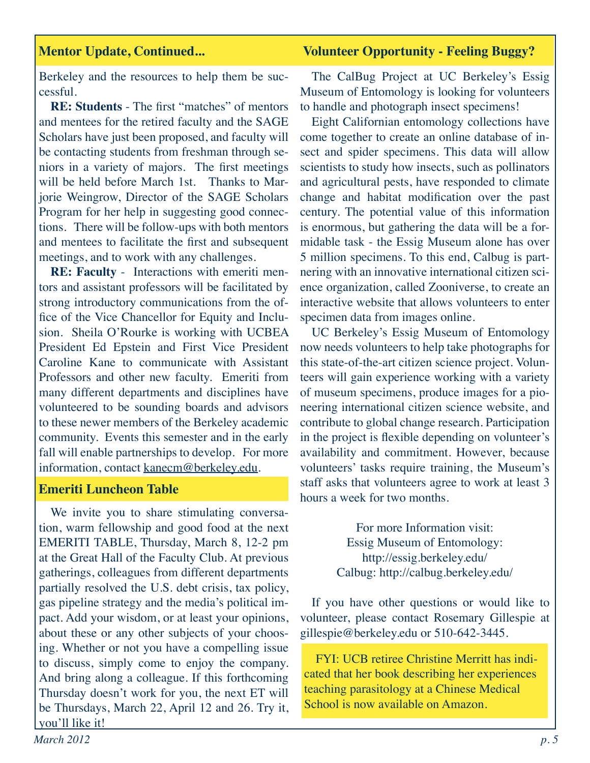#### **Mentor Update, Continued...**

#### **Volunteer Opportunity - Feeling Buggy?**

Berkeley and the resources to help them be successful.

**RE: Students** - The first "matches" of mentors and mentees for the retired faculty and the SAGE Scholars have just been proposed, and faculty will be contacting students from freshman through seniors in a variety of majors. The first meetings will be held before March 1st. Thanks to Marjorie Weingrow, Director of the SAGE Scholars Program for her help in suggesting good connections. There will be follow-ups with both mentors and mentees to facilitate the first and subsequent meetings, and to work with any challenges.

**RE: Faculty** - Interactions with emeriti mentors and assistant professors will be facilitated by strong introductory communications from the office of the Vice Chancellor for Equity and Inclusion. Sheila O'Rourke is working with UCBEA President Ed Epstein and First Vice President Caroline Kane to communicate with Assistant Professors and other new faculty. Emeriti from many different departments and disciplines have volunteered to be sounding boards and advisors to these newer members of the Berkeley academic community. Events this semester and in the early fall will enable partnerships to develop. For more information, contact kanecm@berkeley.edu.

#### **Emeriti Luncheon Table**

We invite you to share stimulating conversation, warm fellowship and good food at the next EMERITI TABLE, Thursday, March 8, 12-2 pm at the Great Hall of the Faculty Club. At previous gatherings, colleagues from different departments partially resolved the U.S. debt crisis, tax policy, gas pipeline strategy and the media's political impact. Add your wisdom, or at least your opinions, about these or any other subjects of your choosing. Whether or not you have a compelling issue to discuss, simply come to enjoy the company. And bring along a colleague. If this forthcoming Thursday doesn't work for you, the next ET will be Thursdays, March 22, April 12 and 26. Try it, you'll like it!

The CalBug Project at UC Berkeley's Essig Museum of Entomology is looking for volunteers to handle and photograph insect specimens!

Eight Californian entomology collections have come together to create an online database of insect and spider specimens. This data will allow scientists to study how insects, such as pollinators and agricultural pests, have responded to climate change and habitat modification over the past century. The potential value of this information is enormous, but gathering the data will be a formidable task - the Essig Museum alone has over 5 million specimens. To this end, Calbug is partnering with an innovative international citizen science organization, called Zooniverse, to create an interactive website that allows volunteers to enter specimen data from images online.

UC Berkeley's Essig Museum of Entomology now needs volunteers to help take photographs for this state-of-the-art citizen science project. Volunteers will gain experience working with a variety of museum specimens, produce images for a pioneering international citizen science website, and contribute to global change research. Participation in the project is flexible depending on volunteer's availability and commitment. However, because volunteers' tasks require training, the Museum's staff asks that volunteers agree to work at least 3 hours a week for two months.

> For more Information visit: Essig Museum of Entomology: http://essig.berkeley.edu/ Calbug: http://calbug.berkeley.edu/

If you have other questions or would like to volunteer, please contact Rosemary Gillespie at gillespie@berkeley.edu or 510-642-3445.

FYI: UCB retiree Christine Merritt has indicated that her book describing her experiences teaching parasitology at a Chinese Medical School is now available on Amazon.